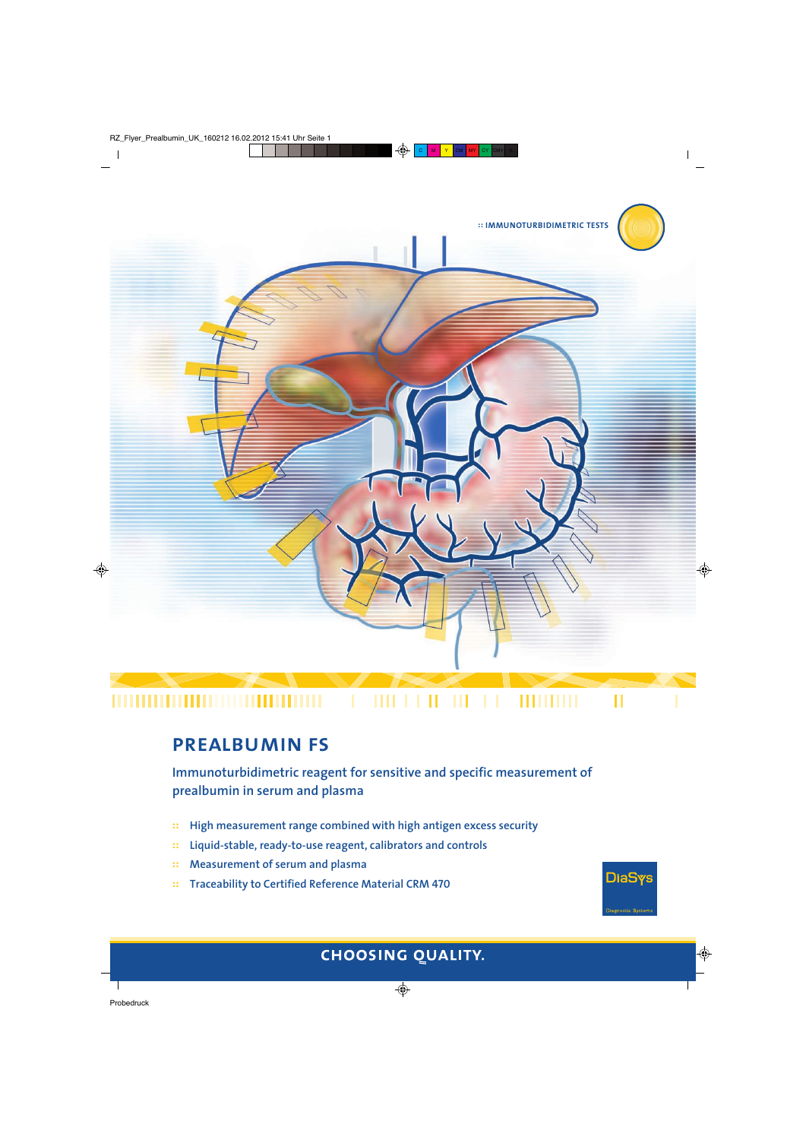

#### **IIII I I II** ,,,,,,,,,,,,,,,,,,,,,, Ш ,,,,,,,,,

П

**DiaSys** 

# **prealbumin fs**

**Immunoturbidimetric reagent for sensitive and specific measurement of prealbumin in serum and plasma**

- **:: High measurement range combined with high antigen excess security**
- **:: Liquid-stable, ready-to-use reagent, calibrators and controls**
- **:: Measurement of serum and plasma**
- **:: Traceability to Certified Reference Material CRM 470**